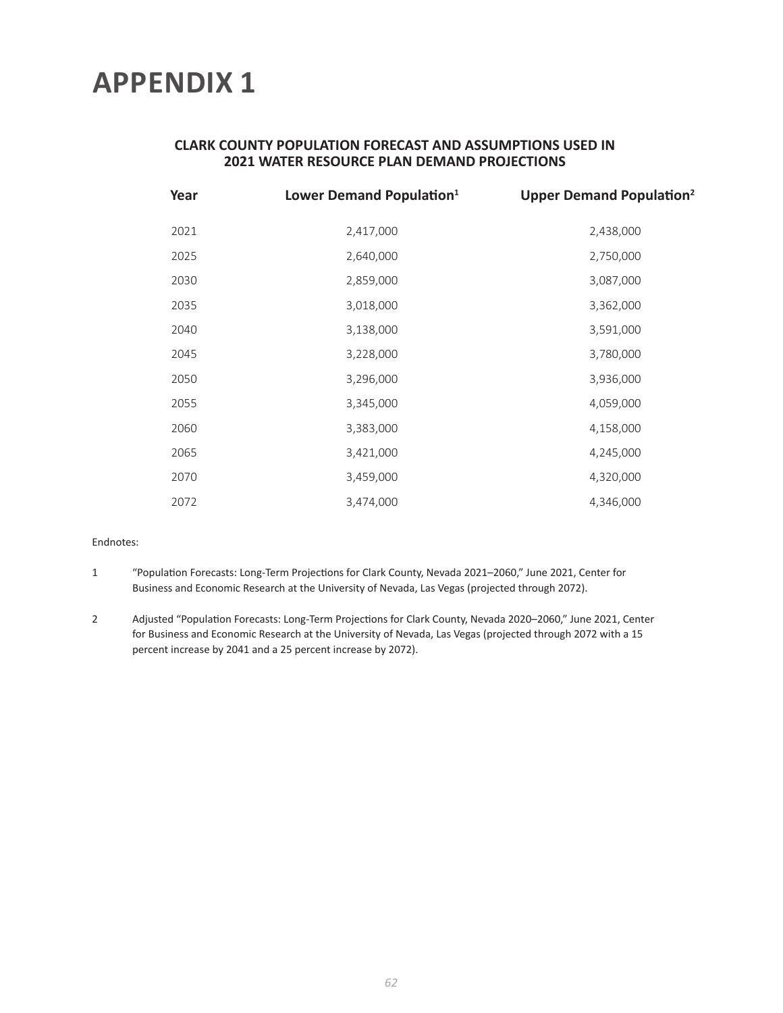### **CLARK COUNTY POPULATION FORECAST AND ASSUMPTIONS USED IN 2021 WATER RESOURCE PLAN DEMAND PROJECTIONS**

| Year | Lower Demand Population <sup>1</sup> | <b>Upper Demand Population<sup>2</sup></b> |  |  |  |  |  |
|------|--------------------------------------|--------------------------------------------|--|--|--|--|--|
| 2021 | 2,417,000                            | 2,438,000                                  |  |  |  |  |  |
| 2025 | 2,640,000                            | 2,750,000                                  |  |  |  |  |  |
| 2030 | 2,859,000                            | 3,087,000                                  |  |  |  |  |  |
| 2035 | 3,018,000                            | 3,362,000                                  |  |  |  |  |  |
| 2040 | 3,138,000                            | 3,591,000                                  |  |  |  |  |  |
| 2045 | 3,228,000                            | 3,780,000                                  |  |  |  |  |  |
| 2050 | 3,296,000                            | 3,936,000                                  |  |  |  |  |  |
| 2055 | 3,345,000                            | 4,059,000                                  |  |  |  |  |  |
| 2060 | 3,383,000                            | 4,158,000                                  |  |  |  |  |  |
| 2065 | 3,421,000                            | 4,245,000                                  |  |  |  |  |  |
| 2070 | 3,459,000                            | 4,320,000                                  |  |  |  |  |  |
| 2072 | 3,474,000                            | 4,346,000                                  |  |  |  |  |  |

#### Endnotes:

- 1 "Population Forecasts: Long-Term Projections for Clark County, Nevada 2021–2060," June 2021, Center for Business and Economic Research at the University of Nevada, Las Vegas (projected through 2072).
- 2 Adjusted "Population Forecasts: Long-Term Projections for Clark County, Nevada 2020–2060," June 2021, Center for Business and Economic Research at the University of Nevada, Las Vegas (projected through 2072 with a 15 percent increase by 2041 and a 25 percent increase by 2072).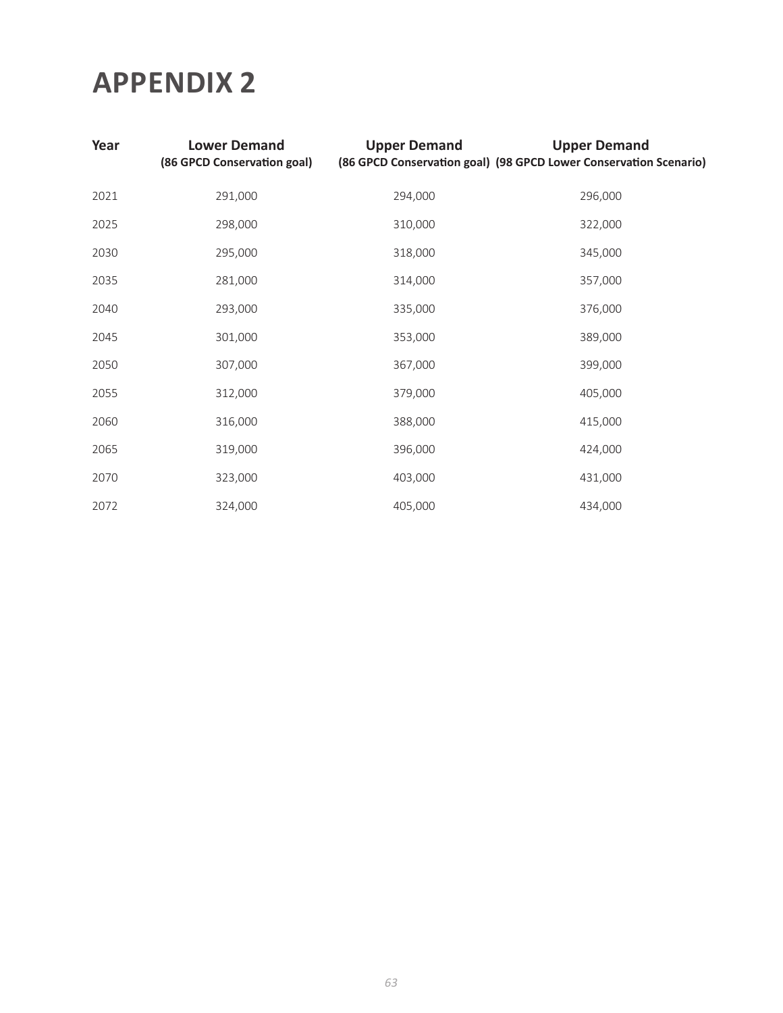| Year | <b>Lower Demand</b><br>(86 GPCD Conservation goal) | <b>Upper Demand</b> | <b>Upper Demand</b><br>(86 GPCD Conservation goal) (98 GPCD Lower Conservation Scenario) |
|------|----------------------------------------------------|---------------------|------------------------------------------------------------------------------------------|
| 2021 | 291,000                                            | 294,000             | 296,000                                                                                  |
| 2025 | 298,000                                            | 310,000             | 322,000                                                                                  |
| 2030 | 295,000                                            | 318,000             | 345,000                                                                                  |
| 2035 | 281,000                                            | 314,000             | 357,000                                                                                  |
| 2040 | 293,000                                            | 335,000             | 376,000                                                                                  |
| 2045 | 301,000                                            | 353,000             | 389,000                                                                                  |
| 2050 | 307,000                                            | 367,000             | 399,000                                                                                  |
| 2055 | 312,000                                            | 379,000             | 405,000                                                                                  |
| 2060 | 316,000                                            | 388,000             | 415,000                                                                                  |
| 2065 | 319,000                                            | 396,000             | 424,000                                                                                  |
| 2070 | 323,000                                            | 403,000             | 431,000                                                                                  |
| 2072 | 324,000                                            | 405,000             | 434,000                                                                                  |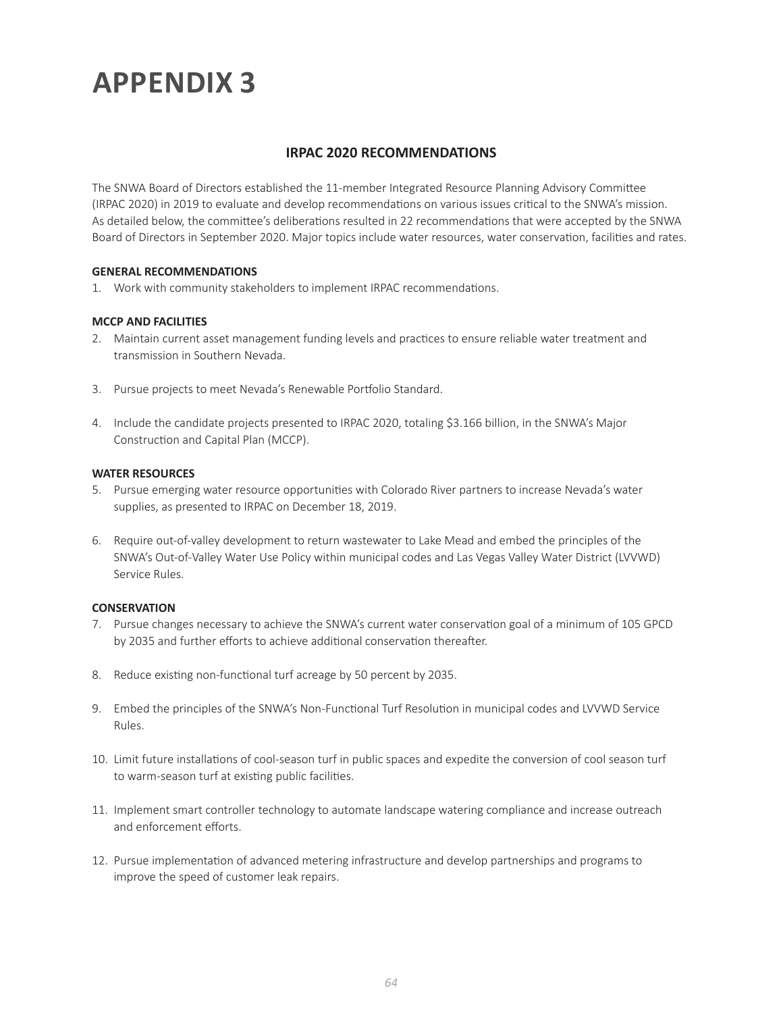#### **IRPAC 2020 RECOMMENDATIONS**

The SNWA Board of Directors established the 11-member Integrated Resource Planning Advisory Committee (IRPAC 2020) in 2019 to evaluate and develop recommendations on various issues critical to the SNWA's mission. As detailed below, the committee's deliberations resulted in 22 recommendations that were accepted by the SNWA Board of Directors in September 2020. Major topics include water resources, water conservation, facilities and rates.

#### **GENERAL RECOMMENDATIONS**

1. Work with community stakeholders to implement IRPAC recommendations.

#### **MCCP AND FACILITIES**

- 2. Maintain current asset management funding levels and practices to ensure reliable water treatment and transmission in Southern Nevada.
- 3. Pursue projects to meet Nevada's Renewable Portfolio Standard.
- 4. Include the candidate projects presented to IRPAC 2020, totaling \$3.166 billion, in the SNWA's Major Construction and Capital Plan (MCCP).

#### **WATER RESOURCES**

- 5. Pursue emerging water resource opportunities with Colorado River partners to increase Nevada's water supplies, as presented to IRPAC on December 18, 2019.
- 6. Require out-of-valley development to return wastewater to Lake Mead and embed the principles of the SNWA's Out-of-Valley Water Use Policy within municipal codes and Las Vegas Valley Water District (LVVWD) Service Rules.

#### **CONSERVATION**

- 7. Pursue changes necessary to achieve the SNWA's current water conservation goal of a minimum of 105 GPCD by 2035 and further efforts to achieve additional conservation thereafter.
- 8. Reduce existing non-functional turf acreage by 50 percent by 2035.
- 9. Embed the principles of the SNWA's Non-Functional Turf Resolution in municipal codes and LVVWD Service Rules.
- 10. Limit future installations of cool-season turf in public spaces and expedite the conversion of cool season turf to warm-season turf at existing public facilities.
- 11. Implement smart controller technology to automate landscape watering compliance and increase outreach and enforcement efforts.
- 12. Pursue implementation of advanced metering infrastructure and develop partnerships and programs to improve the speed of customer leak repairs.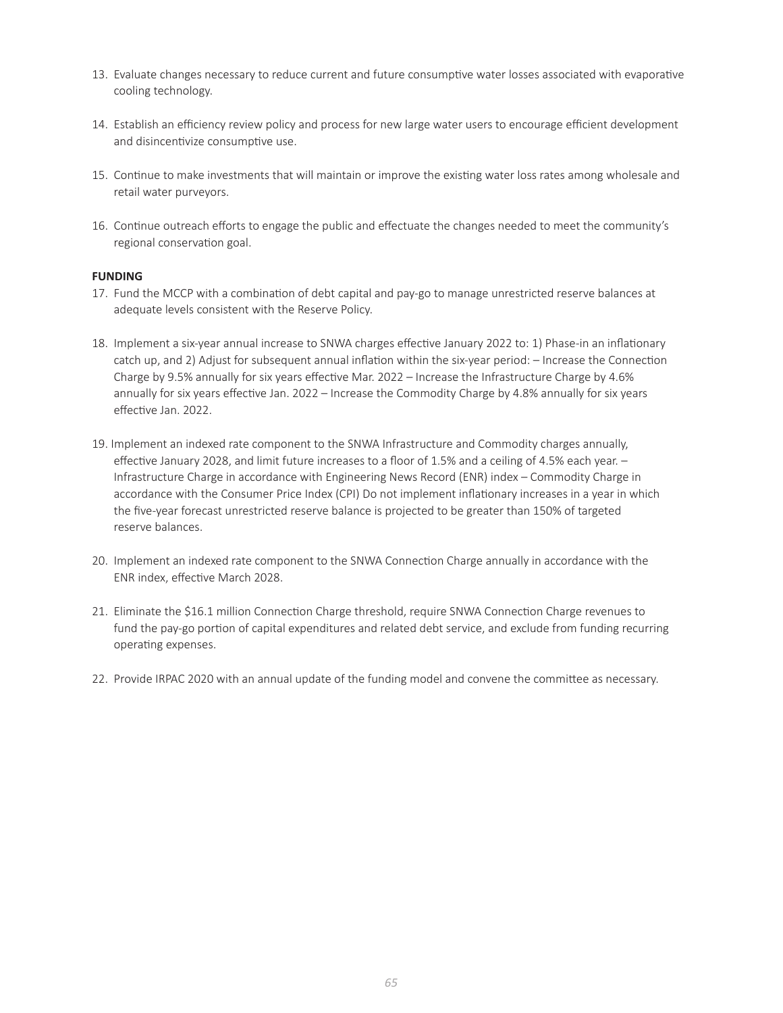- 13. Evaluate changes necessary to reduce current and future consumptive water losses associated with evaporative cooling technology.
- 14. Establish an efficiency review policy and process for new large water users to encourage efficient development and disincentivize consumptive use.
- 15. Continue to make investments that will maintain or improve the existing water loss rates among wholesale and retail water purveyors.
- 16. Continue outreach efforts to engage the public and effectuate the changes needed to meet the community's regional conservation goal.

#### **FUNDING**

- 17. Fund the MCCP with a combination of debt capital and pay-go to manage unrestricted reserve balances at adequate levels consistent with the Reserve Policy.
- 18. Implement a six-year annual increase to SNWA charges effective January 2022 to: 1) Phase-in an inflationary catch up, and 2) Adjust for subsequent annual inflation within the six-year period: – Increase the Connection Charge by 9.5% annually for six years effective Mar. 2022 – Increase the Infrastructure Charge by 4.6% annually for six years effective Jan. 2022 – Increase the Commodity Charge by 4.8% annually for six years effective Jan. 2022.
- 19. Implement an indexed rate component to the SNWA Infrastructure and Commodity charges annually, effective January 2028, and limit future increases to a floor of 1.5% and a ceiling of 4.5% each year. – Infrastructure Charge in accordance with Engineering News Record (ENR) index – Commodity Charge in accordance with the Consumer Price Index (CPI) Do not implement inflationary increases in a year in which the five-year forecast unrestricted reserve balance is projected to be greater than 150% of targeted reserve balances.
- 20. Implement an indexed rate component to the SNWA Connection Charge annually in accordance with the ENR index, effective March 2028.
- 21. Eliminate the \$16.1 million Connection Charge threshold, require SNWA Connection Charge revenues to fund the pay-go portion of capital expenditures and related debt service, and exclude from funding recurring operating expenses.
- 22. Provide IRPAC 2020 with an annual update of the funding model and convene the committee as necessary.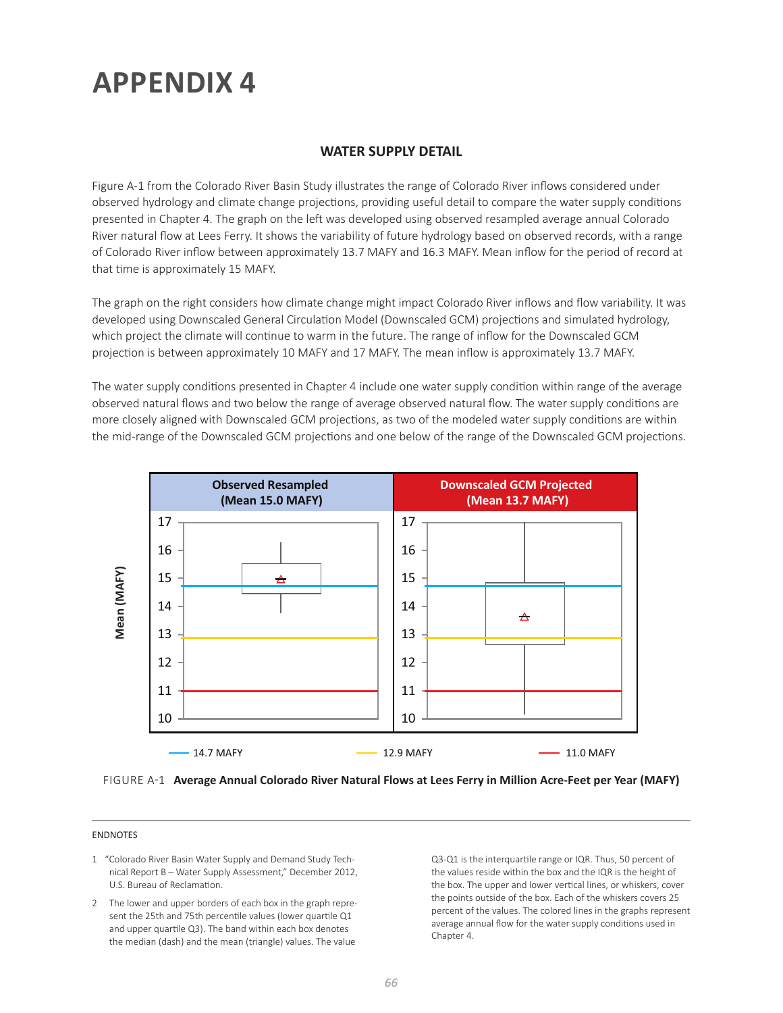#### **WATER SUPPLY DETAIL**

Figure A-1 from the Colorado River Basin Study illustrates the range of Colorado River inflows considered under observed hydrology and climate change projections, providing useful detail to compare the water supply conditions presented in Chapter 4. The graph on the left was developed using observed resampled average annual Colorado River natural flow at Lees Ferry. It shows the variability of future hydrology based on observed records, with a range of Colorado River inflow between approximately 13.7 MAFY and 16.3 MAFY. Mean inflow for the period of record at that time is approximately 15 MAFY.

The graph on the right considers how climate change might impact Colorado River inflows and flow variability. It was developed using Downscaled General Circulation Model (Downscaled GCM) projections and simulated hydrology, which project the climate will continue to warm in the future. The range of inflow for the Downscaled GCM projection is between approximately 10 MAFY and 17 MAFY. The mean inflow is approximately 13.7 MAFY.

The water supply conditions presented in Chapter 4 include one water supply condition within range of the average observed natural flows and two below the range of average observed natural flow. The water supply conditions are more closely aligned with Downscaled GCM projections, as two of the modeled water supply conditions are within the mid-range of the Downscaled GCM projections and one below of the range of the Downscaled GCM projections.



FIGURE A-1 **Average Annual Colorado River Natural Flows at Lees Ferry in Million Acre-Feet per Year (MAFY)**

#### ENDNOTES

- 1 "Colorado River Basin Water Supply and Demand Study Technical Report B – Water Supply Assessment," December 2012, U.S. Bureau of Reclamation.
- 2 The lower and upper borders of each box in the graph represent the 25th and 75th percentile values (lower quartile Q1 and upper quartile Q3). The band within each box denotes the median (dash) and the mean (triangle) values. The value

Q3-Q1 is the interquartile range or IQR. Thus, 50 percent of the values reside within the box and the IQR is the height of the box. The upper and lower vertical lines, or whiskers, cover the points outside of the box. Each of the whiskers covers 25 percent of the values. The colored lines in the graphs represent average annual flow for the water supply conditions used in Chapter 4.